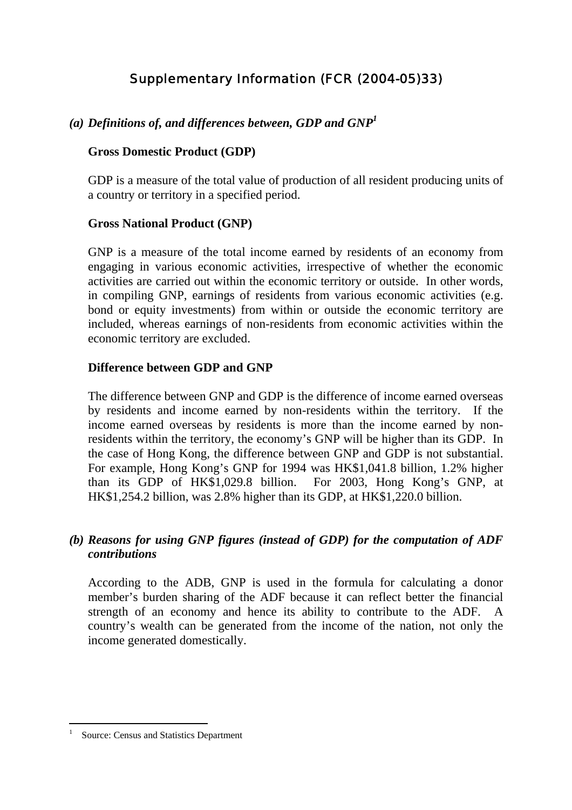# Supplementary Information (FCR (2004-05)33)

### *(a) Definitions of, and differences between, GDP and GNP1*

#### **Gross Domestic Product (GDP)**

GDP is a measure of the total value of production of all resident producing units of a country or territory in a specified period.

#### **Gross National Product (GNP)**

GNP is a measure of the total income earned by residents of an economy from engaging in various economic activities, irrespective of whether the economic activities are carried out within the economic territory or outside. In other words, in compiling GNP, earnings of residents from various economic activities (e.g. bond or equity investments) from within or outside the economic territory are included, whereas earnings of non-residents from economic activities within the economic territory are excluded.

#### **Difference between GDP and GNP**

The difference between GNP and GDP is the difference of income earned overseas by residents and income earned by non-residents within the territory. If the income earned overseas by residents is more than the income earned by nonresidents within the territory, the economy's GNP will be higher than its GDP. In the case of Hong Kong, the difference between GNP and GDP is not substantial. For example, Hong Kong's GNP for 1994 was HK\$1,041.8 billion, 1.2% higher than its GDP of HK\$1,029.8 billion. For 2003, Hong Kong's GNP, at HK\$1,254.2 billion, was 2.8% higher than its GDP, at HK\$1,220.0 billion.

## *(b) Reasons for using GNP figures (instead of GDP) for the computation of ADF contributions*

According to the ADB, GNP is used in the formula for calculating a donor member's burden sharing of the ADF because it can reflect better the financial strength of an economy and hence its ability to contribute to the ADF. A country's wealth can be generated from the income of the nation, not only the income generated domestically.

<sup>1</sup> Source: Census and Statistics Department